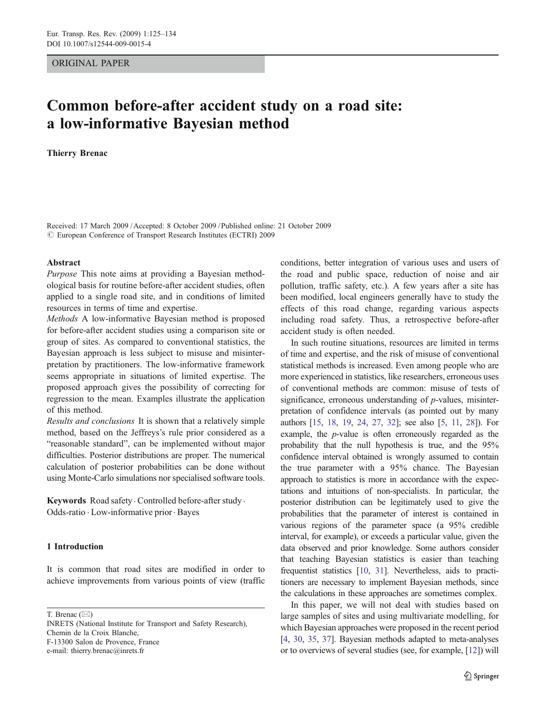## ORIGINAL PAPER

# Common before-after accident study on a road site: a low-informative Bayesian method

## Thierry Brenac

Received: 17 March 2009 /Accepted: 8 October 2009 / Published online: 21 October 2009  $\circ$  European Conference of Transport Research Institutes (ECTRI) 2009

#### Abstract

Purpose This note aims at providing a Bayesian methodological basis for routine before-after accident studies, often applied to a single road site, and in conditions of limited resources in terms of time and expertise.

Methods A low-informative Bayesian method is proposed for before-after accident studies using a comparison site or group of sites. As compared to conventional statistics, the Bayesian approach is less subject to misuse and misinterpretation by practitioners. The low-informative framework seems appropriate in situations of limited expertise. The proposed approach gives the possibility of correcting for regression to the mean. Examples illustrate the application of this method.

Results and conclusions It is shown that a relatively simple method, based on the Jeffreys's rule prior considered as a "reasonable standard", can be implemented without major difficulties. Posterior distributions are proper. The numerical calculation of posterior probabilities can be done without using Monte-Carlo simulations nor specialised software tools.

Keywords Road safety . Controlled before-after study . Odds-ratio . Low-informative prior. Bayes

# 1 Introduction

It is common that road sites are modified in order to achieve improvements from various points of view (traffic

T. Brenac  $(\boxtimes)$ 

INRETS (National Institute for Transport and Safety Research), Chemin de la Croix Blanche, F-13300 Salon de Provence, France e-mail: thierry.brenac@inrets.fr

conditions, better integration of various uses and users of the road and public space, reduction of noise and air pollution, traffic safety, etc.). A few years after a site has been modified, local engineers generally have to study the effects of this road change, regarding various aspects including road safety. Thus, a retrospective before-after accident study is often needed.

In such routine situations, resources are limited in terms of time and expertise, and the risk of misuse of conventional statistical methods is increased. Even among people who are more experienced in statistics, like researchers, erroneous uses of conventional methods are common: misuse of tests of significance, erroneous understanding of  $p$ -values, misinterpretation of confidence intervals (as pointed out by many authors [[15](#page-9-0), [18,](#page-9-0) [19](#page-9-0), [24](#page-9-0), [27,](#page-9-0) [32\]](#page-9-0); see also [\[5,](#page-8-0) [11,](#page-9-0) [28](#page-9-0)]). For example, the p-value is often erroneously regarded as the probability that the null hypothesis is true, and the 95% confidence interval obtained is wrongly assumed to contain the true parameter with a 95% chance. The Bayesian approach to statistics is more in accordance with the expectations and intuitions of non-specialists. In particular, the posterior distribution can be legitimately used to give the probabilities that the parameter of interest is contained in various regions of the parameter space (a 95% credible interval, for example), or exceeds a particular value, given the data observed and prior knowledge. Some authors consider that teaching Bayesian statistics is easier than teaching frequentist statistics [\[10,](#page-9-0) [31](#page-9-0)]. Nevertheless, aids to practitioners are necessary to implement Bayesian methods, since the calculations in these approaches are sometimes complex.

In this paper, we will not deal with studies based on large samples of sites and using multivariate modelling, for which Bayesian approaches were proposed in the recent period [\[4](#page-8-0), [30,](#page-9-0) [35,](#page-9-0) [37](#page-9-0)]. Bayesian methods adapted to meta-analyses or to overviews of several studies (see, for example, [\[12\]](#page-9-0)) will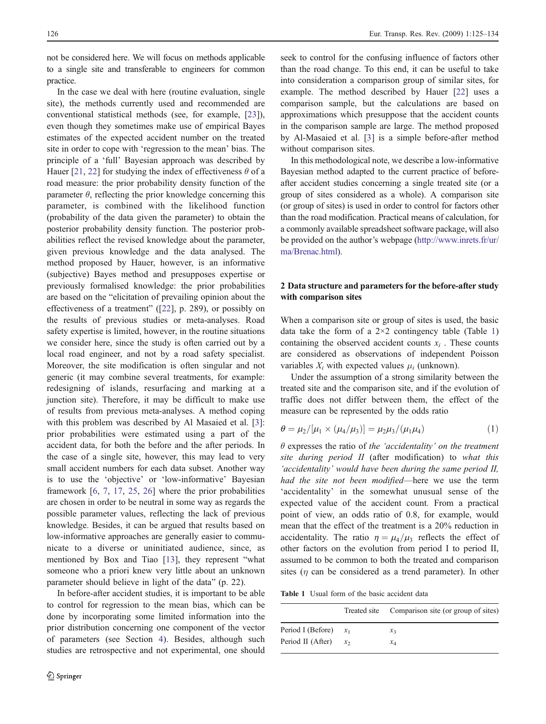<span id="page-1-0"></span>not be considered here. We will focus on methods applicable to a single site and transferable to engineers for common practice.

In the case we deal with here (routine evaluation, single site), the methods currently used and recommended are conventional statistical methods (see, for example, [\[23](#page-9-0)]), even though they sometimes make use of empirical Bayes estimates of the expected accident number on the treated site in order to cope with 'regression to the mean' bias. The principle of a 'full' Bayesian approach was described by Hauer [[21,](#page-9-0) [22](#page-9-0)] for studying the index of effectiveness  $\theta$  of a road measure: the prior probability density function of the parameter  $\theta$ , reflecting the prior knowledge concerning this parameter, is combined with the likelihood function (probability of the data given the parameter) to obtain the posterior probability density function. The posterior probabilities reflect the revised knowledge about the parameter, given previous knowledge and the data analysed. The method proposed by Hauer, however, is an informative (subjective) Bayes method and presupposes expertise or previously formalised knowledge: the prior probabilities are based on the "elicitation of prevailing opinion about the effectiveness of a treatment" ([[22\]](#page-9-0), p. 289), or possibly on the results of previous studies or meta-analyses. Road safety expertise is limited, however, in the routine situations we consider here, since the study is often carried out by a local road engineer, and not by a road safety specialist. Moreover, the site modification is often singular and not generic (it may combine several treatments, for example: redesigning of islands, resurfacing and marking at a junction site). Therefore, it may be difficult to make use of results from previous meta-analyses. A method coping with this problem was described by Al Masaied et al. [\[3](#page-8-0)]: prior probabilities were estimated using a part of the accident data, for both the before and the after periods. In the case of a single site, however, this may lead to very small accident numbers for each data subset. Another way is to use the 'objective' or 'low-informative' Bayesian framework [\[6](#page-9-0), [7,](#page-9-0) [17,](#page-9-0) [25](#page-9-0), [26](#page-9-0)] where the prior probabilities are chosen in order to be neutral in some way as regards the possible parameter values, reflecting the lack of previous knowledge. Besides, it can be argued that results based on low-informative approaches are generally easier to communicate to a diverse or uninitiated audience, since, as mentioned by Box and Tiao [[13\]](#page-9-0), they represent "what someone who a priori knew very little about an unknown parameter should believe in light of the data" (p. 22).

In before-after accident studies, it is important to be able to control for regression to the mean bias, which can be done by incorporating some limited information into the prior distribution concerning one component of the vector of parameters (see Section [4](#page-2-0)). Besides, although such studies are retrospective and not experimental, one should seek to control for the confusing influence of factors other than the road change. To this end, it can be useful to take into consideration a comparison group of similar sites, for example. The method described by Hauer [[22\]](#page-9-0) uses a comparison sample, but the calculations are based on approximations which presuppose that the accident counts in the comparison sample are large. The method proposed by Al-Masaied et al. [\[3](#page-8-0)] is a simple before-after method without comparison sites.

In this methodological note, we describe a low-informative Bayesian method adapted to the current practice of beforeafter accident studies concerning a single treated site (or a group of sites considered as a whole). A comparison site (or group of sites) is used in order to control for factors other than the road modification. Practical means of calculation, for a commonly available spreadsheet software package, will also be provided on the author's webpage [\(http://www.inrets.fr/ur/](http://www.inrets.fr/ur/ma/Brenac.html) [ma/Brenac.html](http://www.inrets.fr/ur/ma/Brenac.html)).

# 2 Data structure and parameters for the before-after study with comparison sites

When a comparison site or group of sites is used, the basic data take the form of a  $2\times 2$  contingency table (Table 1) containing the observed accident counts  $x_i$ . These counts are considered as observations of independent Poisson variables  $X_i$  with expected values  $\mu_i$  (unknown).

Under the assumption of a strong similarity between the treated site and the comparison site, and if the evolution of traffic does not differ between them, the effect of the measure can be represented by the odds ratio

$$
\theta = \mu_2 / [\mu_1 \times (\mu_4 / \mu_3)] = \mu_2 \mu_3 / (\mu_1 \mu_4)
$$
 (1)

 $\theta$  expresses the ratio of the 'accidentality' on the treatment site during period II (after modification) to what this 'accidentality' would have been during the same period II, had the site not been modified—here we use the term 'accidentality' in the somewhat unusual sense of the expected value of the accident count. From a practical point of view, an odds ratio of 0.8, for example, would mean that the effect of the treatment is a 20% reduction in accidentality. The ratio  $\eta = \mu_4/\mu_3$  reflects the effect of other factors on the evolution from period I to period II, assumed to be common to both the treated and comparison sites ( $\eta$  can be considered as a trend parameter). In other

Table 1 Usual form of the basic accident data

|                   |          | Treated site Comparison site (or group of sites) |
|-------------------|----------|--------------------------------------------------|
| Period I (Before) | $\chi_1$ | $x_{3}$                                          |
| Period II (After) | $\chi_2$ | $x_4$                                            |
|                   |          |                                                  |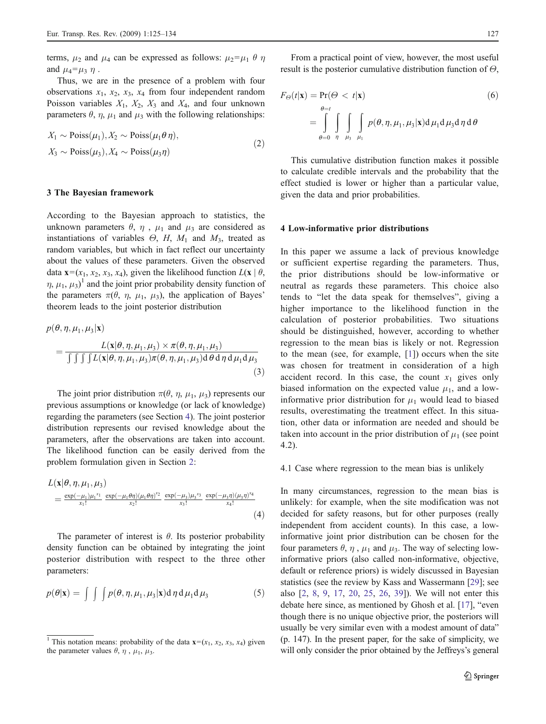<span id="page-2-0"></span>terms,  $\mu_2$  and  $\mu_4$  can be expressed as follows:  $\mu_2 = \mu_1 \theta \eta$ and  $\mu_4 = \mu_3 \eta$ .

Thus, we are in the presence of a problem with four observations  $x_1$ ,  $x_2$ ,  $x_3$ ,  $x_4$  from four independent random Poisson variables  $X_1$ ,  $X_2$ ,  $X_3$  and  $X_4$ , and four unknown parameters  $\theta$ ,  $\eta$ ,  $\mu_1$  and  $\mu_3$  with the following relationships:

$$
X_1 \sim \text{Poiss}(\mu_1), X_2 \sim \text{Poiss}(\mu_1 \theta \eta),
$$
  

$$
X_3 \sim \text{Poiss}(\mu_3), X_4 \sim \text{Poiss}(\mu_3 \eta)
$$
 (2)

#### 3 The Bayesian framework

According to the Bayesian approach to statistics, the unknown parameters  $\theta$ ,  $\eta$ ,  $\mu_1$  and  $\mu_3$  are considered as instantiations of variables  $\Theta$ , H,  $M_1$  and  $M_3$ , treated as random variables, but which in fact reflect our uncertainty about the values of these parameters. Given the observed data  $\mathbf{x} = (x_1, x_2, x_3, x_4)$ , given the likelihood function  $L(\mathbf{x} \mid \theta, \theta)$  $\eta$ ,  $\mu_1$ ,  $\mu_3$ <sup>1</sup> and the joint prior probability density function of the parameters  $\pi(\theta, \eta, \mu_1, \mu_3)$ , the application of Bayes' theorem leads to the joint posterior distribution

$$
p(\theta, \eta, \mu_1, \mu_3 | \mathbf{x})
$$
  
= 
$$
\frac{L(\mathbf{x} | \theta, \eta, \mu_1, \mu_3) \times \pi(\theta, \eta, \mu_1, \mu_3)}{\int \int \int \int L(\mathbf{x} | \theta, \eta, \mu_1, \mu_3) \pi(\theta, \eta, \mu_1, \mu_3) d\theta d\eta d\mu_1 d\mu_3}
$$

$$
(3)
$$

The joint prior distribution  $\pi(\theta, \eta, \mu_1, \mu_3)$  represents our previous assumptions or knowledge (or lack of knowledge) regarding the parameters (see Section 4). The joint posterior distribution represents our revised knowledge about the parameters, after the observations are taken into account. The likelihood function can be easily derived from the problem formulation given in Section [2](#page-1-0):

$$
L(\mathbf{x}|\theta,\eta,\mu_1,\mu_3) = \frac{\exp(-\mu_1)\mu_1^{x_1}}{x_1!} \frac{\exp(-\mu_1\theta\eta)(\mu_1\theta\eta)^{x_2}}{x_2!} \frac{\exp(-\mu_3)\mu_3^{x_3}}{x_3!} \frac{\exp(-\mu_3\eta)(\mu_3\eta)^{x_4}}{x_4!}
$$
\n(4)

The parameter of interest is  $\theta$ . Its posterior probability density function can be obtained by integrating the joint posterior distribution with respect to the three other parameters:

$$
p(\theta|\mathbf{x}) = \int \int p(\theta, \eta, \mu_1, \mu_3|\mathbf{x}) d\eta d\mu_1 d\mu_3 \tag{5}
$$

From a practical point of view, however, the most useful result is the posterior cumulative distribution function of  $\Theta$ ,

$$
F_{\Theta}(t|\mathbf{x}) = \Pr(\Theta < t|\mathbf{x}) \tag{6}
$$
\n
$$
= \int_{\theta=0}^{\theta=t} \int_{\eta} \int_{\mu_3} \int_{\mu_1} p(\theta, \eta, \mu_1, \mu_3|\mathbf{x}) d\mu_1 d\mu_3 d\eta d\theta
$$

This cumulative distribution function makes it possible to calculate credible intervals and the probability that the effect studied is lower or higher than a particular value, given the data and prior probabilities.

#### 4 Low-informative prior distributions

In this paper we assume a lack of previous knowledge or sufficient expertise regarding the parameters. Thus, the prior distributions should be low-informative or neutral as regards these parameters. This choice also tends to "let the data speak for themselves", giving a higher importance to the likelihood function in the calculation of posterior probabilities. Two situations should be distinguished, however, according to whether regression to the mean bias is likely or not. Regression to the mean (see, for example, [\[1](#page-8-0)]) occurs when the site was chosen for treatment in consideration of a high accident record. In this case, the count  $x_1$  gives only biased information on the expected value  $\mu_1$ , and a lowinformative prior distribution for  $\mu_1$  would lead to biased results, overestimating the treatment effect. In this situation, other data or information are needed and should be taken into account in the prior distribution of  $\mu_1$  (see point 4.2).

#### 4.1 Case where regression to the mean bias is unlikely

In many circumstances, regression to the mean bias is unlikely: for example, when the site modification was not decided for safety reasons, but for other purposes (really independent from accident counts). In this case, a lowinformative joint prior distribution can be chosen for the four parameters  $\theta$ ,  $\eta$ ,  $\mu_1$  and  $\mu_3$ . The way of selecting lowinformative priors (also called non-informative, objective, default or reference priors) is widely discussed in Bayesian statistics (see the review by Kass and Wassermann [\[29](#page-9-0)]; see also [\[2](#page-8-0), [8,](#page-9-0) [9](#page-9-0), [17,](#page-9-0) [20,](#page-9-0) [25](#page-9-0), [26,](#page-9-0) [39](#page-9-0)]). We will not enter this debate here since, as mentioned by Ghosh et al. [[17\]](#page-9-0), "even though there is no unique objective prior, the posteriors will usually be very similar even with a modest amount of data" (p. 147). In the present paper, for the sake of simplicity, we will only consider the prior obtained by the Jeffreys's general

<sup>&</sup>lt;sup>1</sup> This notation means: probability of the data  $\mathbf{x} = (x_1, x_2, x_3, x_4)$  given the parameter values  $\theta$ ,  $\eta$ ,  $\mu_1$ ,  $\mu_3$ .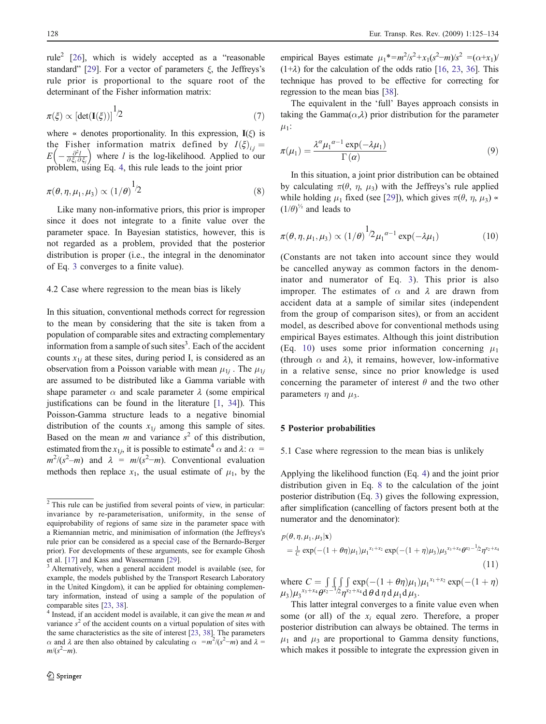<span id="page-3-0"></span>rule<sup>2</sup> [\[26](#page-9-0)], which is widely accepted as a "reasonable standard" [\[29\]](#page-9-0). For a vector of parameters  $\xi$ , the Jeffreys's rule prior is proportional to the square root of the determinant of the Fisher information matrix:

$$
\pi(\xi) \propto \left[ \det(\mathbf{I}(\xi)) \right]^{1/2} \tag{7}
$$

where « denotes proportionality. In this expression,  $I(\xi)$  is the Fisher information matrix defined by  $I(\xi)_{ii} =$  $E\left(-\frac{\partial^2 l}{\partial \xi_i \partial \xi_j}\right)$  where l is the log-likelihood. Applied to our problem, using Eq. [4,](#page-2-0) this rule leads to the joint prior

$$
\pi(\theta, \eta, \mu_1, \mu_3) \propto (1/\theta)^{1/2} \tag{8}
$$

Like many non-informative priors, this prior is improper since it does not integrate to a finite value over the parameter space. In Bayesian statistics, however, this is not regarded as a problem, provided that the posterior distribution is proper (i.e., the integral in the denominator of Eq. [3](#page-2-0) converges to a finite value).

## 4.2 Case where regression to the mean bias is likely

In this situation, conventional methods correct for regression to the mean by considering that the site is taken from a population of comparable sites and extracting complementary information from a sample of such sites<sup>3</sup>. Each of the accident counts  $x_{1i}$  at these sites, during period I, is considered as an observation from a Poisson variable with mean  $\mu_{1j}$ . The  $\mu_{1j}$ are assumed to be distributed like a Gamma variable with shape parameter  $\alpha$  and scale parameter  $\lambda$  (some empirical justifications can be found in the literature [\[1](#page-8-0), [34](#page-9-0)]). This Poisson-Gamma structure leads to a negative binomial distribution of the counts  $x_{1i}$  among this sample of sites. Based on the mean *m* and variance  $s^2$  of this distribution, estimated from the  $x_{1j}$ , it is possible to estimate<sup>4</sup>  $\alpha$  and  $\lambda$ :  $\alpha$  =  $m^2/(s^2-m)$  and  $\lambda = m/(s^2-m)$ . Conventional evaluation methods then replace  $x_1$ , the usual estimate of  $\mu_1$ , by the

empirical Bayes estimate  $\mu_1^* = m^2/s^2 + x_1(s^2 - m)/s^2 = (\alpha + x_1)$  $(1+\lambda)$  for the calculation of the odds ratio [[16](#page-9-0), [23,](#page-9-0) [36](#page-9-0)]. This technique has proved to be effective for correcting for regression to the mean bias [\[38\]](#page-9-0).

The equivalent in the 'full' Bayes approach consists in taking the Gamma $(\alpha, \lambda)$  prior distribution for the parameter  $\mu_1$ :

$$
\pi(\mu_1) = \frac{\lambda^{\alpha} \mu_1^{\alpha - 1} \exp(-\lambda \mu_1)}{\Gamma(\alpha)}
$$
\n(9)

In this situation, a joint prior distribution can be obtained by calculating  $\pi(\theta, \eta, \mu_3)$  with the Jeffreys's rule applied while holding  $\mu_1$  fixed (see [[29\]](#page-9-0)), which gives  $\pi(\theta, \eta, \mu_3)$   $\propto$  $(1/\theta)^{\frac{1}{2}}$  and leads to

$$
\pi(\theta, \eta, \mu_1, \mu_3) \propto (1/\theta)^{1/2} \mu_1^{\alpha - 1} \exp(-\lambda \mu_1)
$$
 (10)

(Constants are not taken into account since they would be cancelled anyway as common factors in the denominator and numerator of Eq. [3\)](#page-2-0). This prior is also improper. The estimates of  $\alpha$  and  $\lambda$  are drawn from accident data at a sample of similar sites (independent from the group of comparison sites), or from an accident model, as described above for conventional methods using empirical Bayes estimates. Although this joint distribution (Eq. 10) uses some prior information concerning  $\mu_1$ (through  $\alpha$  and  $\lambda$ ), it remains, however, low-informative in a relative sense, since no prior knowledge is used concerning the parameter of interest  $\theta$  and the two other parameters  $\eta$  and  $\mu_3$ .

## 5 Posterior probabilities

#### 5.1 Case where regression to the mean bias is unlikely

Applying the likelihood function (Eq. [4](#page-2-0)) and the joint prior distribution given in Eq. 8 to the calculation of the joint posterior distribution (Eq. [3](#page-2-0)) gives the following expression, after simplification (cancelling of factors present both at the numerator and the denominator):

$$
p(\theta, \eta, \mu_1, \mu_3 | \mathbf{x}) = \frac{1}{C} \exp(-(1 + \theta \eta) \mu_1) \mu_1^{x_1 + x_2} \exp(-(1 + \eta) \mu_3) \mu_3^{x_3 + x_4} \theta^{x_2 - 1/2} \eta^{x_2 + x_4}
$$
\n(11)

where  $C = \int \int_{\Omega} \int \exp(-(1 + \theta \eta) \mu_1) \mu_1^{x_1 + x_2} \exp(-(1 + \eta) \mu_1) \mu_1^{x_1 + x_2}$  $(\mu_3)\mu_3^{x_3+x_4}\theta^{x_2-1/2}\eta^{x_2+x_4}\theta\theta\,d\eta\,d\mu_1\mu_3.$ 

This latter integral converges to a finite value even when some (or all) of the  $x_i$  equal zero. Therefore, a proper posterior distribution can always be obtained. The terms in  $\mu_1$  and  $\mu_3$  are proportional to Gamma density functions, which makes it possible to integrate the expression given in

<sup>&</sup>lt;sup>2</sup> This rule can be justified from several points of view, in particular: invariance by re-parameterisation, uniformity, in the sense of equiprobability of regions of same size in the parameter space with a Riemannian metric, and minimisation of information (the Jeffreys's rule prior can be considered as a special case of the Bernardo-Berger prior). For developments of these arguments, see for example Ghosh

et al. [\[17\]](#page-9-0) and Kass and Wassermann [[29](#page-9-0)].<br><sup>3</sup> Alternatively, when a general accident model is available (see, for example, the models published by the Transport Research Laboratory in the United Kingdom), it can be applied for obtaining complementary information, instead of using a sample of the population of comparable sites [\[23,](#page-9-0) [38](#page-9-0)].  $4$  Instead, if an accident model is available, it can give the mean *m* and

variance  $s^2$  of the accident counts on a virtual population of sites with the same characteristics as the site of interest [\[23,](#page-9-0) [38\]](#page-9-0). The parameters  $\alpha$  and  $\lambda$  are then also obtained by calculating  $\alpha = m^2/(s^2-m)$  and  $\lambda =$  $m/(s^2-m)$ .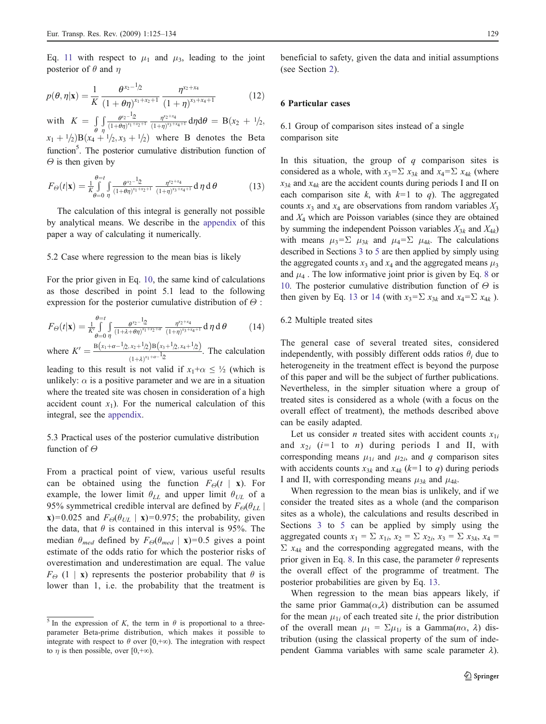<span id="page-4-0"></span>Eq. [11](#page-3-0) with respect to  $\mu_1$  and  $\mu_3$ , leading to the joint posterior of  $\theta$  and  $\eta$ 

$$
p(\theta, \eta | \mathbf{x}) = \frac{1}{K} \frac{\theta^{x_2 - 1/2}}{(1 + \theta \eta)^{x_1 + x_2 + 1}} \frac{\eta^{x_2 + x_4}}{(1 + \eta)^{x_3 + x_4 + 1}}
$$
(12)

with  $K = \iint\limits_{\theta}$  $\theta^{x_2-1}2$  $(1+\theta\eta)^{x_1+x_2+1}$  $\frac{\eta^{x_2+x_4}}{(1+\eta)^{x_3+x_4+1}}\,\mathrm{d}\eta\mathrm{d}\theta\,=\,\mathrm{B}(x_2\,+\,{}^{\!\!1}/_2,$  $x_1 + \frac{1}{2}B(x_4 + \frac{1}{2}, x_3 + \frac{1}{2})$  where B denotes the Beta function<sup>5</sup>. The posterior cumulative distribution function of  $\Theta$  is then given by

$$
F_{\Theta}(t|\mathbf{x}) = \frac{1}{K} \int_{\theta=0}^{\theta=t} \int_{\eta} \frac{\theta^{x_2-1/2}}{(1+\theta\eta)^{x_1+x_2+1}} \frac{\eta^{x_2+x_4}}{(1+\eta)^{x_3+x_4+1}} d\eta d\theta \qquad (13)
$$

The calculation of this integral is generally not possible by analytical means. We describe in the [appendix](#page-8-0) of this paper a way of calculating it numerically.

#### 5.2 Case where regression to the mean bias is likely

For the prior given in Eq. [10,](#page-3-0) the same kind of calculations as those described in point 5.1 lead to the following expression for the posterior cumulative distribution of  $\Theta$ :

$$
F_{\Theta}(t|\mathbf{x}) = \frac{1}{K'} \int_{\theta=0}^{\theta=t} \int_{\eta} \frac{\theta^{x_2-1/2}}{(1+\lambda+\theta\eta)^{x_1+x_2+\alpha}} \frac{\eta^{x_2+x_4}}{(1+\eta)^{x_3+x_4+1}} d\eta d\theta \qquad (14)
$$

where  $K' = \frac{B(x_1 + \alpha - 1/2, x_2 + 1/2)B(x_3 + 1/2, x_4 + 1/2)}{(1 + \lambda)^{x_1 + \alpha - 1}/2}$ . The calculation

leading to this result is not valid if  $x_1 + \alpha \leq \frac{1}{2}$  (which is unlikely:  $\alpha$  is a positive parameter and we are in a situation where the treated site was chosen in consideration of a high accident count  $x_1$ ). For the numerical calculation of this integral, see the [appendix](#page-8-0).

# 5.3 Practical uses of the posterior cumulative distribution function of  $\Theta$

From a practical point of view, various useful results can be obtained using the function  $F_{\Theta}(t \mid \mathbf{x})$ . For example, the lower limit  $\theta_{LL}$  and upper limit  $\theta_{UL}$  of a 95% symmetrical credible interval are defined by  $F_{\Theta}(\theta_{LL})$  $\mathbf{x}$ )=0.025 and  $F_{\Theta}(\theta_{UL} \mid \mathbf{x})$ =0.975; the probability, given the data, that  $\theta$  is contained in this interval is 95%. The median  $\theta_{med}$  defined by  $F_{\Theta}(\theta_{med} \mid \mathbf{x})=0.5$  gives a point estimate of the odds ratio for which the posterior risks of overestimation and underestimation are equal. The value  $F_{\Theta}$  (1 | x) represents the posterior probability that  $\theta$  is lower than 1, i.e. the probability that the treatment is

beneficial to safety, given the data and initial assumptions (see Section [2](#page-1-0)).

## 6 Particular cases

6.1 Group of comparison sites instead of a single comparison site

In this situation, the group of  $q$  comparison sites is considered as a whole, with  $x_3 = \sum x_{3k}$  and  $x_4 = \sum x_{4k}$  (where  $x_{3k}$  and  $x_{4k}$  are the accident counts during periods I and II on each comparison site k, with  $k=1$  to q). The aggregated counts  $x_3$  and  $x_4$  are observations from random variables  $X_3$ and  $X_4$  which are Poisson variables (since they are obtained by summing the independent Poisson variables  $X_{3k}$  and  $X_{4k}$ with means  $\mu_3 = \sum \mu_{3k}$  and  $\mu_4 = \sum \mu_{4k}$ . The calculations described in Sections [3](#page-2-0) to [5](#page-3-0) are then applied by simply using the aggregated counts  $x_3$  and  $x_4$  and the aggregated means  $\mu_3$ and  $\mu_4$ . The low informative joint prior is given by Eq. [8](#page-3-0) or [10.](#page-3-0) The posterior cumulative distribution function of  $\Theta$  is then given by Eq. 13 or 14 (with  $x_3 = \sum x_{3k}$  and  $x_4 = \sum x_{4k}$ ).

#### 6.2 Multiple treated sites

The general case of several treated sites, considered independently, with possibly different odds ratios  $\theta_i$  due to heterogeneity in the treatment effect is beyond the purpose of this paper and will be the subject of further publications. Nevertheless, in the simpler situation where a group of treated sites is considered as a whole (with a focus on the overall effect of treatment), the methods described above can be easily adapted.

Let us consider *n* treated sites with accident counts  $x_{1i}$ and  $x_{2i}$  (i=1 to *n*) during periods I and II, with corresponding means  $\mu_{1i}$  and  $\mu_{2i}$ , and q comparison sites with accidents counts  $x_{3k}$  and  $x_{4k}$  (k=1 to q) during periods I and II, with corresponding means  $\mu_{3k}$  and  $\mu_{4k}$ .

When regression to the mean bias is unlikely, and if we consider the treated sites as a whole (and the comparison sites as a whole), the calculations and results described in Sections [3](#page-2-0) to [5](#page-3-0) can be applied by simply using the aggregated counts  $x_1 = \sum x_{1i}$ ,  $x_2 = \sum x_{2i}$ ,  $x_3 = \sum x_{3k}$ ,  $x_4 =$  $\Sigma$   $x_{4k}$  and the corresponding aggregated means, with the prior given in Eq. [8](#page-3-0). In this case, the parameter  $\theta$  represents the overall effect of the programme of treatment. The posterior probabilities are given by Eq. 13.

When regression to the mean bias appears likely, if the same prior Gamma $(\alpha, \lambda)$  distribution can be assumed for the mean  $\mu_{1i}$  of each treated site *i*, the prior distribution of the overall mean  $\mu_1 = \sum \mu_{1i}$  is a Gamma $(n\alpha, \lambda)$  distribution (using the classical property of the sum of independent Gamma variables with same scale parameter  $\lambda$ ).

<sup>&</sup>lt;sup>5</sup> In the expression of K, the term in  $\theta$  is proportional to a threeparameter Beta-prime distribution, which makes it possible to integrate with respect to  $\theta$  over [0,+∞). The integration with respect to  $\eta$  is then possible, over [0,+∞).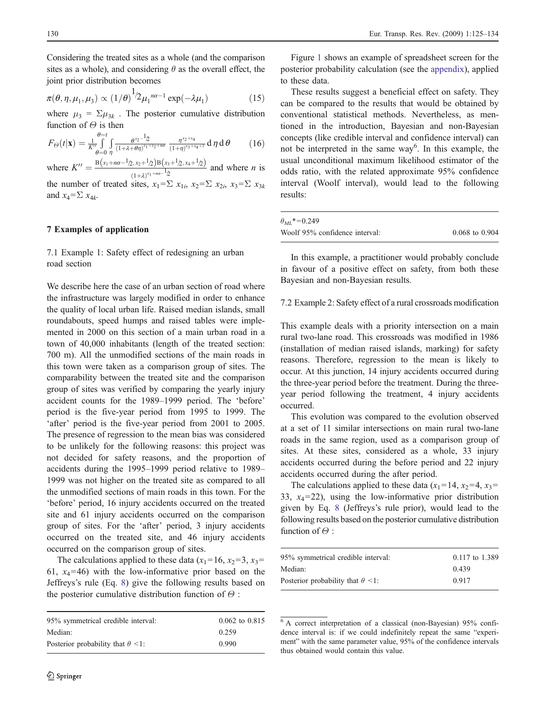<span id="page-5-0"></span>Considering the treated sites as a whole (and the comparison sites as a whole), and considering  $\theta$  as the overall effect, the joint prior distribution becomes

$$
\pi(\theta, \eta, \mu_1, \mu_3) \propto (1/\theta)^{1/2} \mu_1^{n\alpha - 1} \exp(-\lambda \mu_1)
$$
 (15)

where  $\mu_3 = \sum \mu_{3k}$ . The posterior cumulative distribution function of  $\Theta$  is then

$$
F_{\Theta}(t|\mathbf{x}) = \frac{1}{K''} \int_{\theta=0}^{\theta=t} \int_{\eta} \frac{\theta^{x_2-1/2}}{(1+\lambda+\theta\eta)^{x_1+x_2+n\alpha}} \frac{\eta^{x_2+x_4}}{(1+\eta)^{x_3+x_4+1}} d\eta d\theta \qquad (16)
$$

where  $K'' = \frac{B(x_1 + n\alpha - 1/2, x_2 + 1/2)B(x_3 + 1/2, x_4 + 1/2)}{(1 + \lambda)^{x_1 + n\alpha - 1}/2}$  and where *n* is the number of treated sites,  $x_1 = \sum x_{1i}$ ,  $x_2 = \sum x_{2i}$ ,  $x_3 = \sum x_{3k}$ and  $x_4 = \sum x_{4k}$ .

# 7 Examples of application

7.1 Example 1: Safety effect of redesigning an urban road section

We describe here the case of an urban section of road where the infrastructure was largely modified in order to enhance the quality of local urban life. Raised median islands, small roundabouts, speed humps and raised tables were implemented in 2000 on this section of a main urban road in a town of 40,000 inhabitants (length of the treated section: 700 m). All the unmodified sections of the main roads in this town were taken as a comparison group of sites. The comparability between the treated site and the comparison group of sites was verified by comparing the yearly injury accident counts for the 1989–1999 period. The 'before' period is the five-year period from 1995 to 1999. The 'after' period is the five-year period from 2001 to 2005. The presence of regression to the mean bias was considered to be unlikely for the following reasons: this project was not decided for safety reasons, and the proportion of accidents during the 1995–1999 period relative to 1989– 1999 was not higher on the treated site as compared to all the unmodified sections of main roads in this town. For the 'before' period, 16 injury accidents occurred on the treated site and 61 injury accidents occurred on the comparison group of sites. For the 'after' period, 3 injury accidents occurred on the treated site, and 46 injury accidents occurred on the comparison group of sites.

The calculations applied to these data  $(x_1=16, x_2=3, x_3=$ 61,  $x_4$ =46) with the low-informative prior based on the Jeffreys's rule (Eq. [8](#page-3-0)) give the following results based on the posterior cumulative distribution function of  $\Theta$ :

| 95% symmetrical credible interval:      | $0.062$ to $0.815$ |
|-----------------------------------------|--------------------|
| Median:                                 | 0.259              |
| Posterior probability that $\theta$ <1: | 0.990              |

Figure [1](#page-6-0) shows an example of spreadsheet screen for the posterior probability calculation (see the [appendix\)](#page-8-0), applied to these data.

These results suggest a beneficial effect on safety. They can be compared to the results that would be obtained by conventional statistical methods. Nevertheless, as mentioned in the introduction, Bayesian and non-Bayesian concepts (like credible interval and confidence interval) can not be interpreted in the same way<sup>6</sup>. In this example, the usual unconditional maximum likelihood estimator of the odds ratio, with the related approximate 95% confidence interval (Woolf interval), would lead to the following results:

| $\theta_{MI}$ *=0.249          |                    |
|--------------------------------|--------------------|
| Woolf 95% confidence interval: | $0.068$ to $0.904$ |

In this example, a practitioner would probably conclude in favour of a positive effect on safety, from both these Bayesian and non-Bayesian results.

## 7.2 Example 2: Safety effect of a rural crossroads modification

This example deals with a priority intersection on a main rural two-lane road. This crossroads was modified in 1986 (installation of median raised islands, marking) for safety reasons. Therefore, regression to the mean is likely to occur. At this junction, 14 injury accidents occurred during the three-year period before the treatment. During the threeyear period following the treatment, 4 injury accidents occurred.

This evolution was compared to the evolution observed at a set of 11 similar intersections on main rural two-lane roads in the same region, used as a comparison group of sites. At these sites, considered as a whole, 33 injury accidents occurred during the before period and 22 injury accidents occurred during the after period.

The calculations applied to these data  $(x_1=14, x_2=4, x_3=$ 33,  $x_4 = 22$ ), using the low-informative prior distribution given by Eq. [8](#page-3-0) (Jeffreys's rule prior), would lead to the following results based on the posterior cumulative distribution function of  $\Theta$  :

| 95% symmetrical credible interval:      | 0.117 to 1.389 |
|-----------------------------------------|----------------|
| Median:                                 | 0.439          |
| Posterior probability that $\theta$ <1: | 0.917          |

<sup>&</sup>lt;sup>6</sup> A correct interpretation of a classical (non-Bayesian) 95% confidence interval is: if we could indefinitely repeat the same "experiment" with the same parameter value, 95% of the confidence intervals thus obtained would contain this value.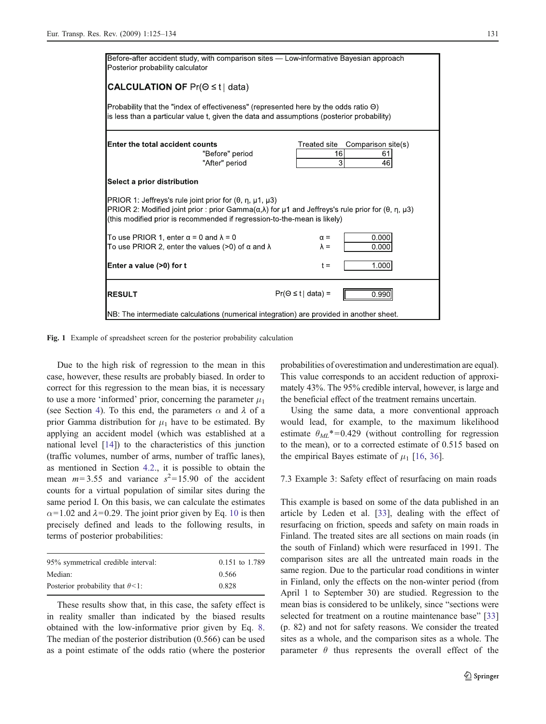<span id="page-6-0"></span>

Fig. 1 Example of spreadsheet screen for the posterior probability calculation

Due to the high risk of regression to the mean in this case, however, these results are probably biased. In order to correct for this regression to the mean bias, it is necessary to use a more 'informed' prior, concerning the parameter  $\mu_1$ (see Section [4](#page-2-0)). To this end, the parameters  $\alpha$  and  $\lambda$  of a prior Gamma distribution for  $\mu_1$  have to be estimated. By applying an accident model (which was established at a national level [\[14](#page-9-0)]) to the characteristics of this junction (traffic volumes, number of arms, number of traffic lanes), as mentioned in Section [4.2.](#page-3-0), it is possible to obtain the mean  $m=3.55$  and variance  $s^2=15.90$  of the accident counts for a virtual population of similar sites during the same period I. On this basis, we can calculate the estimates  $\alpha$ =1.02 and  $\lambda$ =0.29. The joint prior given by Eq. [10](#page-3-0) is then precisely defined and leads to the following results, in terms of posterior probabilities:

| 95% symmetrical credible interval:       | 0.151 to 1.789 |
|------------------------------------------|----------------|
| Median:                                  | 0.566          |
| Posterior probability that $\theta$ < 1: | 0.828          |

These results show that, in this case, the safety effect is in reality smaller than indicated by the biased results obtained with the low-informative prior given by Eq. [8.](#page-3-0) The median of the posterior distribution (0.566) can be used as a point estimate of the odds ratio (where the posterior probabilities of overestimation and underestimation are equal). This value corresponds to an accident reduction of approximately 43%. The 95% credible interval, however, is large and the beneficial effect of the treatment remains uncertain.

Using the same data, a more conventional approach would lead, for example, to the maximum likelihood estimate  $\theta_{ML}$ \*=0.429 (without controlling for regression to the mean), or to a corrected estimate of 0.515 based on the empirical Bayes estimate of  $\mu_1$  [\[16](#page-9-0), [36\]](#page-9-0).

# 7.3 Example 3: Safety effect of resurfacing on main roads

This example is based on some of the data published in an article by Leden et al. [\[33](#page-9-0)], dealing with the effect of resurfacing on friction, speeds and safety on main roads in Finland. The treated sites are all sections on main roads (in the south of Finland) which were resurfaced in 1991. The comparison sites are all the untreated main roads in the same region. Due to the particular road conditions in winter in Finland, only the effects on the non-winter period (from April 1 to September 30) are studied. Regression to the mean bias is considered to be unlikely, since "sections were selected for treatment on a routine maintenance base" [\[33](#page-9-0)] (p. 82) and not for safety reasons. We consider the treated sites as a whole, and the comparison sites as a whole. The parameter  $\theta$  thus represents the overall effect of the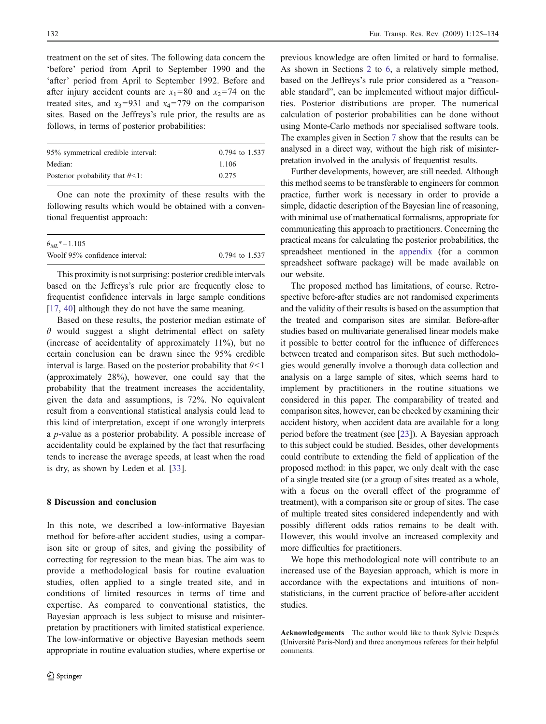treatment on the set of sites. The following data concern the 'before' period from April to September 1990 and the 'after' period from April to September 1992. Before and after injury accident counts are  $x_1=80$  and  $x_2=74$  on the treated sites, and  $x_3=931$  and  $x_4=779$  on the comparison sites. Based on the Jeffreys's rule prior, the results are as follows, in terms of posterior probabilities:

| 95% symmetrical credible interval:       | 0.794 to 1.537 |
|------------------------------------------|----------------|
| Median:                                  | 1.106          |
| Posterior probability that $\theta$ < 1: | 0.275          |

One can note the proximity of these results with the following results which would be obtained with a conventional frequentist approach:

| $\theta_{ML}$ *=1.105          |                |
|--------------------------------|----------------|
| Woolf 95% confidence interval: | 0.794 to 1.537 |

This proximity is not surprising: posterior credible intervals based on the Jeffreys's rule prior are frequently close to frequentist confidence intervals in large sample conditions [\[17,](#page-9-0) [40](#page-9-0)] although they do not have the same meaning.

Based on these results, the posterior median estimate of  $\theta$  would suggest a slight detrimental effect on safety (increase of accidentality of approximately 11%), but no certain conclusion can be drawn since the 95% credible interval is large. Based on the posterior probability that  $\theta$  < 1 (approximately 28%), however, one could say that the probability that the treatment increases the accidentality, given the data and assumptions, is 72%. No equivalent result from a conventional statistical analysis could lead to this kind of interpretation, except if one wrongly interprets a p-value as a posterior probability. A possible increase of accidentality could be explained by the fact that resurfacing tends to increase the average speeds, at least when the road is dry, as shown by Leden et al. [[33\]](#page-9-0).

## 8 Discussion and conclusion

In this note, we described a low-informative Bayesian method for before-after accident studies, using a comparison site or group of sites, and giving the possibility of correcting for regression to the mean bias. The aim was to provide a methodological basis for routine evaluation studies, often applied to a single treated site, and in conditions of limited resources in terms of time and expertise. As compared to conventional statistics, the Bayesian approach is less subject to misuse and misinterpretation by practitioners with limited statistical experience. The low-informative or objective Bayesian methods seem appropriate in routine evaluation studies, where expertise or

previous knowledge are often limited or hard to formalise. As shown in Sections [2](#page-1-0) to [6,](#page-4-0) a relatively simple method, based on the Jeffreys's rule prior considered as a "reasonable standard", can be implemented without major difficulties. Posterior distributions are proper. The numerical calculation of posterior probabilities can be done without using Monte-Carlo methods nor specialised software tools. The examples given in Section [7](#page-5-0) show that the results can be analysed in a direct way, without the high risk of misinterpretation involved in the analysis of frequentist results.

Further developments, however, are still needed. Although this method seems to be transferable to engineers for common practice, further work is necessary in order to provide a simple, didactic description of the Bayesian line of reasoning, with minimal use of mathematical formalisms, appropriate for communicating this approach to practitioners. Concerning the practical means for calculating the posterior probabilities, the spreadsheet mentioned in the [appendix](#page-8-0) (for a common spreadsheet software package) will be made available on our website.

The proposed method has limitations, of course. Retrospective before-after studies are not randomised experiments and the validity of their results is based on the assumption that the treated and comparison sites are similar. Before-after studies based on multivariate generalised linear models make it possible to better control for the influence of differences between treated and comparison sites. But such methodologies would generally involve a thorough data collection and analysis on a large sample of sites, which seems hard to implement by practitioners in the routine situations we considered in this paper. The comparability of treated and comparison sites, however, can be checked by examining their accident history, when accident data are available for a long period before the treatment (see [[23\]](#page-9-0)). A Bayesian approach to this subject could be studied. Besides, other developments could contribute to extending the field of application of the proposed method: in this paper, we only dealt with the case of a single treated site (or a group of sites treated as a whole, with a focus on the overall effect of the programme of treatment), with a comparison site or group of sites. The case of multiple treated sites considered independently and with possibly different odds ratios remains to be dealt with. However, this would involve an increased complexity and more difficulties for practitioners.

We hope this methodological note will contribute to an increased use of the Bayesian approach, which is more in accordance with the expectations and intuitions of nonstatisticians, in the current practice of before-after accident studies.

Acknowledgements The author would like to thank Sylvie Després (Université Paris-Nord) and three anonymous referees for their helpful comments.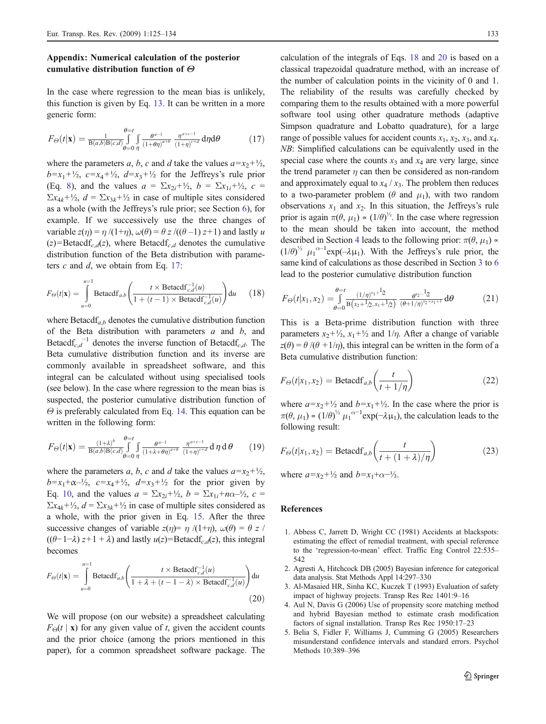# <span id="page-8-0"></span>Appendix: Numerical calculation of the posterior cumulative distribution function of Θ

In the case where regression to the mean bias is unlikely, this function is given by Eq. [13](#page-4-0). It can be written in a more generic form:

$$
F_{\Theta}(t|\mathbf{x}) = \frac{1}{\mathrm{B}(a,b)\mathrm{B}(c,d)} \int_{\theta=0}^{\theta=t} \int_{\eta} \frac{\theta^{a-1}}{(1+\theta\eta)^{a+b}} \frac{\eta^{a+c-1}}{(1+\eta)^{c+d}} d\eta d\theta \tag{17}
$$

where the parameters a, b, c and d take the values  $a=x_2+y_2$ ,  $b=x_1+y_2$ ,  $c=x_4+y_2$ ,  $d=x_3+y_2$  for the Jeffreys's rule prior (Eq. [8\)](#page-3-0), and the values  $a = \sum x_{2i} + \frac{1}{2}$ ,  $b = \sum x_{1i} + \frac{1}{2}$ ,  $c =$  $\sum x_{4k} + \frac{1}{2}$ ,  $d = \sum x_{3k} + \frac{1}{2}$  in case of multiple sites considered as a whole (with the Jeffreys's rule prior; see Section [6](#page-4-0)), for example. If we successively use the three changes of variable  $z(\eta) = \eta/(1+\eta)$ ,  $\omega(\theta) = \theta z/((\theta-1)z+1)$  and lastly u  $(z)$ =Betacdf<sub>c</sub><sub>d</sub>(z), where Betacdf<sub>c</sub><sub>d</sub> denotes the cumulative distribution function of the Beta distribution with parameters  $c$  and  $d$ , we obtain from Eq. 17:

$$
F_{\Theta}(t|\mathbf{x}) = \int_{u=0}^{u=1} \text{Betacdf}_{a,b}\left(\frac{t \times \text{Betacdf}_{c,d}^{-1}(u)}{1 + (t-1) \times \text{Betacdf}_{c,d}^{-1}(u)}\right) du \qquad (18)
$$

where  $\text{Betacdf}_{a,b}$  denotes the cumulative distribution function of the Beta distribution with parameters  $a$  and  $b$ , and Betacd $f_{c,d}$ <sup>-1</sup> denotes the inverse function of Betacd $f_{c,d}$ . The Beta cumulative distribution function and its inverse are commonly available in spreadsheet software, and this integral can be calculated without using specialised tools (see below). In the case where regression to the mean bias is suspected, the posterior cumulative distribution function of  $\Theta$  is preferably calculated from Eq. [14](#page-4-0). This equation can be written in the following form:

$$
F_{\Theta}(t|\mathbf{x}) = \frac{(1+\lambda)^b}{B(a,b)B(c,d)} \int_{\theta=0}^{\theta=t} \int_{\eta} \frac{\theta^{a-1}}{(1+\lambda+\theta\eta)^{a+b}} \frac{\eta^{a+c-1}}{(1+\eta)^{c+d}} d\eta d\theta \qquad (19)
$$

where the parameters a, b, c and d take the values  $a=x_2+y_2$ ,  $b=x_1+\alpha-\frac{1}{2}$ ,  $c=x_4+\frac{1}{2}$ ,  $d=x_3+\frac{1}{2}$  for the prior given by Eq. [10](#page-3-0), and the values  $a = \sum x_{2i} + \frac{1}{2}$ ,  $b = \sum x_{1i} + n\alpha - \frac{1}{2}$ ,  $c =$  $\sum x_{4k} + \frac{1}{2}$ ,  $d = \sum x_{3k} + \frac{1}{2}$  in case of multiple sites considered as a whole, with the prior given in Eq. [15.](#page-5-0) After the three successive changes of variable  $z(\eta) = \eta / (1+\eta)$ ,  $\omega(\theta) = \theta z / \pi$  $((\theta-1-\lambda) z+1 + \lambda)$  and lastly  $u(z)$ =Betacdf<sub>c,d</sub>(z), this integral becomes

$$
F_{\Theta}(t|\mathbf{x}) = \int_{u=0}^{u=1} \text{Betacdf}_{a,b}\left(\frac{t \times \text{Betacdf}_{c,d}^{-1}(u)}{1 + \lambda + (t - 1 - \lambda) \times \text{Betacdf}_{c,d}^{-1}(u)}\right) du
$$
\n(20)

We will propose (on our website) a spreadsheet calculating  $F_{\Theta}(t | \mathbf{x})$  for any given value of t, given the accident counts and the prior choice (among the priors mentioned in this paper), for a common spreadsheet software package. The

calculation of the integrals of Eqs. 18 and 20 is based on a classical trapezoidal quadrature method, with an increase of the number of calculation points in the vicinity of 0 and 1. The reliability of the results was carefully checked by comparing them to the results obtained with a more powerful software tool using other quadrature methods (adaptive Simpson quadrature and Lobatto quadrature), for a large range of possible values for accident counts  $x_1, x_2, x_3$ , and  $x_4$ . NB: Simplified calculations can be equivalently used in the special case where the counts  $x_3$  and  $x_4$  are very large, since the trend parameter  $\eta$  can then be considered as non-random and approximately equal to  $x_4 / x_3$ . The problem then reduces to a two-parameter problem ( $\theta$  and  $\mu_1$ ), with two random observations  $x_1$  and  $x_2$ . In this situation, the Jeffreys's rule prior is again  $\pi(\theta, \mu_1) \propto (1/\theta)^{1/2}$ . In the case where regression to the mean should be taken into account, the method described in Section [4](#page-2-0) leads to the following prior:  $\pi(\theta, \mu_1)$  «  $(1/\theta)^{\frac{1}{2}}$   $\mu_1^{\alpha-1}$ exp(- $\lambda \mu_1$ ). With the Jeffreys's rule prior, the same kind of calculations as those described in Section [3](#page-2-0) to [6](#page-4-0) lead to the posterior cumulative distribution function

$$
F_{\Theta}(t|x_1,x_2) = \int_{\theta=0}^{\theta=t} \frac{(1/\eta)^{x_1+1/2}}{B(x_2+1/2,x_1+1/2)} \frac{\theta^{x_2-1/2}}{(\theta+1/\eta)^{x_2+x_1+1}} d\theta \tag{21}
$$

This is a Beta-prime distribution function with three parameters  $x_2+1/2$ ,  $x_1+1/2$  and  $1/\eta$ . After a change of variable  $z(\theta) = \theta/(\theta + 1/\eta)$ , this integral can be written in the form of a Beta cumulative distribution function:

$$
F_{\Theta}(t|x_1, x_2) = \text{Betacdf}_{a,b}\left(\frac{t}{t + 1/\eta}\right)
$$
 (22)

where  $a=x_2+y_2$  and  $b=x_1+y_2$ . In the case where the prior is  $\pi(\theta, \mu_1) \propto (1/\theta)^{\frac{1}{2}} \mu_1^{\alpha-1} \exp(-\lambda \mu_1)$ , the calculation leads to the following result:

$$
F_{\Theta}(t|x_1, x_2) = \text{Betacdf}_{a,b}\left(\frac{t}{t + (1 + \lambda)/\eta}\right)
$$
 (23)

where  $a=x_2+y_2$  and  $b=x_1+\alpha-y_2$ .

## References

- 1. Abbess C, Jarrett D, Wright CC (1981) Accidents at blackspots: estimating the effect of remedial treatment, with special reference to the 'regression-to-mean' effect. Traffic Eng Control 22:535– 542
- 2. Agresti A, Hitchcock DB (2005) Bayesian inference for categorical data analysis. Stat Methods Appl 14:297–330
- 3. Al-Masaied HR, Sinha KC, Kuczek T (1993) Evaluation of safety impact of highway projects. Transp Res Rec 1401:9–16
- 4. Aul N, Davis G (2006) Use of propensity score matching method and hybrid Bayesian method to estimate crash modification factors of signal installation. Transp Res Rec 1950:17–23
- 5. Belia S, Fidler F, Williams J, Cumming G (2005) Researchers misunderstand confidence intervals and standard errors. Psychol Methods 10:389–396